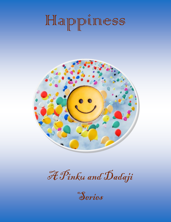# Happiness



A Pinku and Dadaji

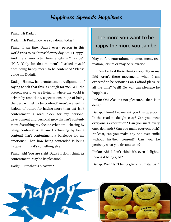### *Happiness Spreads Happiness*

#### Pinku: Hi Dadaji

Dadaji: Hi Pinku how are you doing today?

Pinku: I am fine. Dadaji every person in this world tries to ask himself every day Am I Happy? And the answer often he/she gets is "may be", "No", "Only for that moment". I asked myself does being happy mean to be contended? Please guide me Dadaji.

Dadaji: Hmm… Isn't contentment realignment of saying to self that this is enough for me? Will the present world we are living in where the world is driven by ambitions, expectations, hope of being the best will let us be content? Aren't we feeling jealous of others for having more than us? Isn't contentment a road block for my personal development and personal growth? Isn't contentment disturbing my focus? What am I chasing by being content? What am I achieving by being content? Isn't contentment a barricade for my emotions? Then how being contended is being happy? I think it's something else.

Pinku: Ah! You are right Dadaji I don't think its contentment. May be its pleasure?

Dadaji: But what is pleasure?

## The more you want to be happy the more you can be

May be fun, entertainment, amusement, recreation, leisure or may be relaxation.

But can I afford these things every day in my life? Aren't there movements when I am expected to be serious? Can I afford pleasure all the time? Well! No way can pleasure be happiness.

Pinku: Oh! Alas it's not pleasure… than is it delight?

Dadaji: Hmm! Let me ask you this question: Is the road to delight easy? Can you meet everyone's expectation? Can you meet every ones demands? Can you make everyone rich? At least, can you make any one ever smile without his/her consent? Can you be perfectly what you dreamt to be?

Pinku: Ah! I don't think it's even delight… then is it being glad?

Dadaji: Well! Isn't being glad circumstantial?



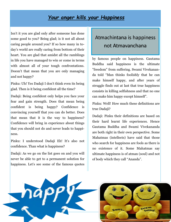### *Your anger kills your Happiness*

Isn't it you are glad only after someone has done some good to you? Being glad; is it not all about caring people around you? If so how many in today's world are really caring from bottom of their heart. You are glad that amidst all the ramblings in life you have managed to win or come in terms with almost all of your tough confrontations. Doesn't that mean that you are only managing and not happy?

Pinku: Uh! Yes Dadaji I don't think even its being glad. Then is it being confident all the time?

Dadaji: Being confident only helps you face your fear and gain strength. Does that mean being confident is being happy? Confidence is convincing yourself that you can do better. Does that mean that it is the way to happiness? Confidence will bring in experience about things that you should not do and never leads to happiness.

Pinku: I understood Dadaji Eh! It's also not confidence. Than what is happiness?

Dadaji: As we go on the list goes on and you will never be able to get to a permanent solution for happiness. Let's see some of the famous quotes

## Atmachintana is happiness not Atmavanchana

by famous people on happiness. Gautama Buddha said happiness is the ultimate "freedom" from suffering. Swami Vivekananda told "Man thinks foolishly that he can make himself happy, and after years of struggle finds out at last that true happiness consists in killing selfishness and that no one can make him happy except himself".

Pinku: Well! How much these definitions are true Dadaji?

Dadaji: Pinku their definitions are based on their hard learnt life experiences. Hence Gautama Buddha and Swami Vivekananda are both right in their own perspective. Some Mahatmas (intellects) have said that those who search for happiness are fools as there is no existence of it. Some Mahatmas say ultimate happiness is of atman (soul) and not of body which they call "Ananda".



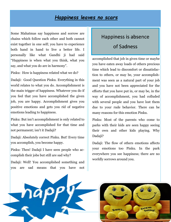#### *Happiness leaves no scars*

Some Mahatmas say happiness and sorrow are chains which follow each other and both cannot exist together in one self; you have to experience both hand in hand to live a better life. I personally like what Gandhi ji had said "Happiness is when what you think, what you say, and what you do are in harmony".

Pinku: How is happiness related what we do?

Dadaji: Good Question Pinku. Everything in this world relates to what you do. Accomplishment is the main trigger of happiness. Whatever you do if you feel that you have accomplished the given job, you are happy. Accomplishment gives you positive emotions and gets you rid of negative emotions leading to happiness.

Pinku: But isn't accomplishment is only related to what you have accomplished for that time and not permanent; isn't it Dadaji?

Dadaji: Absolutely correct Pinku. But! Every time you accomplish, you become happy.

Pinku: Then! Dadaji I have seen people who accomplish their jobs but still are sad why?

Dadaji: Well! You accomplished something and you are sad means that you have not

#### Happiness is absence

#### of Sadness

accomplished that job in given time or maybe you have eaten away loads of others precious time which lead to discomfort or dissatisfaction to others, or may be, your accomplishment was seen as a natural part of your job and you have not been appreciated for the efforts that you have put in, or may be, in the way of accomplishment, you had colluded with several people and you have lost them due to your rude behavior. There can be many reasons for this emotion Pinku.

Pinku: Most of the parents who come to parks with their kids are seen happy seeing their own and other kids playing. Why Dadaii?

Dadaji: The flow of others emotions affects your emotions too Pinku. In the park everywhere you see happiness; there are no worldly sorrows around you.



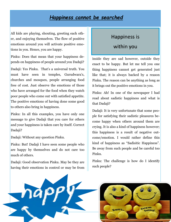#### *Happiness cannot be searched*

All kids are playing, shouting, greeting each other, and enjoying themselves. The flow of positive emotions around you will activate positive emotions in you. Hence, you are happy.

Pinku: Does that mean that your happiness depends on happiness of people around you Dadaji?

Dadaji: Yes Pinku. That's a universal truth. You must have seen in temples, Gurudwara's, churches and mosques, people arranging food free of cost. Just observe the emotions of those who have arranged for the food when they watch poor people who come out with satisfied appetite. The positive emotions of having done some good to others also bring in happiness.

Pinku: In all this examples, you have only one message to give Dadaji that you care for others and your happiness is taken care by itself. Correct Dadaji?

Dadaji: Without any question Pinku.

Pinku: But! Dadaji I have seen some people who are happy by themselves and do not care too much of others.

Dadaji: Good observation Pinku. May be they are having their emotions in control or may be from

#### Happiness is

#### within you

inside they are sad however, outside they enact to be happy. But let me tell you one thing happiness cannot get generated just like that; it is always backed by a reason Pinku. The reason can be anything as long as it brings out the positive emotions in you.

Pinku: Ah! In one of the newspaper I had read about sadistic happiness and what is that Dadaii?

Dadaji: It is very unfortunate that some people for satisfying their sadistic pleasures become happy when others around them are crying. It is also a kind of happiness however; this happiness is a result of negative outcome/emotion. I would rather define this kind of happiness as "Sadisitic Happiness". Be away from such people and be careful too Pinku.

Pinku: The challenge is how do I identify such people?



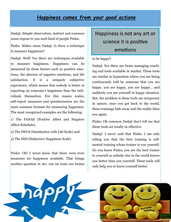### *Happiness comes from your good actions*

Dadaji: Simple observation, instinct and common sense expose to you such kind of people Pinku.

Pinku: Makes sense Dadaji. Is there a technique to measure happiness?

Dadaji: Well! Yes there are techniques available to measure happiness. Happiness can be measured by these factors such as positive emotions, the absence of negative emotions, and life satisfaction. It is a uniquely subjective experience, which means that nobody is better at reporting on someone's happiness than the individuals themselves. For this reason scales, self-report measures and questionnaires are the most common formats for measuring happiness. The most recognized examples are the following:

1) The PANAS (Positive Affect and Negative Affect Schedule),

2) The SWLS (Satisfaction with Life Scale) and

3) The SHS (Subjective Happiness Scale)

Pinku: Oh! I never knew that there were even measures for happiness available. That brings another question in me; can we train our brains

# Happiness is not any art or science it is positive emotions

#### to be happy?

Dadaji: Yes there are brain managing coaching and tools available in market. These tools are similar to hypnotism where you are being continuously told by someone that you are happy, you are happy, you are happy… and suddenly you see yourself in happy situation. But, the problem is these tools are temporary in nature, once you get back to the world, these trainings fade away and the reality bites you again.

Pinku: Oh common Dadaji don't tell me that these tools are totally in-effective.

Dadaji: I never said that Pinku. I am only telling you that the best training is selfmental training whose trainer is you yourself. Do you know Pinku; you are the best trainer to yourself as nobody else in the world knows you better than you yourself. These tools will only help you to know yourself better.



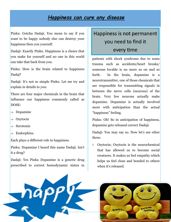#### *Happiness can cure any disease*

Pinku: Gotcha Dadaji. You mean to say if you want to be happy nobody else can destroy your happiness then you yourself.

Dadaji: Exactly Pinku. Happiness is a choice that you make for yourself and no one in this world can take that back from you.

Pinku: How is the brain related to happiness Dadaj?

Dadaji: It's not so simple Pinku. Let me try and explain in details to you:

There are four major chemicals in the brain that influence our happiness commonly called as DOSE:

- $\Rightarrow$  Dopamine
- $\Rightarrow$  Oxytocin
- $\Rightarrow$  Serotonin
- $\Rightarrow$  Endorphins.

Each plays a different role in happiness.

Pinku: Dopamine I heard this name Dadaji. Isn't it a drug?

Dadaji: Yes Pinku Dopamine is a generic drug prescribed to correct hemodynamic status in

# Happiness is not permanent you need to find it every time

patients with shock syndrome due to some trauma such as accidents/heart breaks/ someone lovable is no more so on and so forth. In the brain, dopamine is a neurotransmitter, one of those chemicals that are responsible for transmitting signals in between the nerve cells (neurons) of the brain. Very few neurons actually make dopamine. Dopamine is actually involved more with anticipation than the actual "happiness" feeling.

Pinku: Oh! So in anticipation of happiness, dopamine gets released correct Dadaji.

Dadaji: You may say so. Now let's see other three:

 Oxytocin; Oxytocin is the neurochemical that has allowed us to become social creatures. It makes us feel empathy which helps us feel close and bonded to others when it's released.



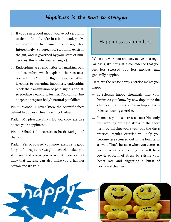#### *Happiness is the next to struggle*

- If you're in a good mood, you've got serotonin to thank. And if you're in a bad mood, you've got serotonin to blame. It's a regulator. Interestingly, 80 percent of serotonin exists in the gut, and is governed by your state of hunger (yes, this is why you're hangry).
- Endorphins are responsible for masking pain or discomfort, which explains their association with the "fight or flight" response. When it comes to designing happiness, endorphins block the transmission of pain signals and also produce a euphoric feeling. You can say Endorphins are your body's natural painkillers.

Pinku: Woooh! I never knew the scientific facts behind happiness. Great teaching Dadaji…

Dadaji: My pleasure Pinku. Do you know exercise boosts your happiness?

Pinku: What? I do exercise to be fit Dadaji and that's it.

Dadaji: Yes of course! you know exercise is good for you. It keeps your weight in check, makes you stronger, and keeps you active. But you cannot deny that exercise can also make you a happier person and it's true.

#### Happiness is a mindset

When you work out and stay active on a regular basis, it's not just a coincidence that you feel less stressed out, less anxious, and generally happier.

Here are the reasons why exercise makes you happy:

- $\Rightarrow$  It releases happy chemicals into your brain: As you know by now dopamine the chemical that plays a role in happiness is released during exercise.
- $\Rightarrow$  It makes you less stressed out: Not only will working out ease stress in the short term by helping you sweat out the day's worries; regular exercise will help you become less stressed out in the long term as well. That's because when you exercise, you're actually subjecting yourself to a low-level form of stress by raising your heart rate and triggering a burst of hormonal changes.



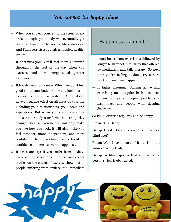#### *You cannot be happy alone*

- $\Rightarrow$  When you subject yourself to the stress of exercise enough, your body will eventually get better at handling the rest of life's stressors. And Pinku less stress equals a happier, healthier life.
- $\Rightarrow$  It energizes you: You'll feel more energized throughout the rest of the day when you exercise. And more energy equals greater happiness.
- $\Rightarrow$  It boosts your confidence: When you don't feel good about your body or how you look, it's all too easy to have low self-esteem. And that can have a negative effect on all areas of your life including your relationships, your goals and aspirations. But when you start to exercise and see your body transform, that can quickly change. Because exercise will not only make you like how you look, it will also make you feel stronger, more independent, and more confident. There's nothing like a boost in confidence to increase overall happiness.
- $\Rightarrow$  It eases anxiety: If you suffer from anxiety, exercise may be a simple cure. Because recent studies on the effects of exercise show that in people suffering from anxiety, the immediate

#### Happiness is a mindset

mood boost from exercise is followed by longer-term relief, similar to that offered by meditation and talk therapy. So next time you're feeling anxious, try a hard workout you'll feel happier.

 $\Rightarrow$  It fights insomnia: Staying active and exercising on a regular basis has been shown to improve sleeping problems of insomniacs and people with sleeping disorders.

So Pinku exercise regularly and be happy.

Pinku: Sure Dadaji.

Dadaji: Good… Do you know Pinku what is a blind spot?

Pinku: Well I have heard of it but I do not know correctly Dadaji.

Dadaji: A blind spot is that area where a person's view is obstructed.



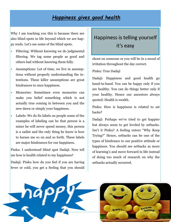### *Happiness gives good health*

Why I am teaching you this is because there are also blind spots in life beyond which we are happy souls. Let's see some of the blind spots.

- Filtering: Without knowing we do judgmental filtering. We tag some people as good and others bad without knowing them fully.
- Assumptions: Lot of time, we live in assumptions without properly understanding the intentions. These killer assumptions are great hindrances to once happiness.
- Memories: Sometimes even memories can make you belief something which is not actually true coming in between you and the new dawn or simply your happiness.
- Labels: We do fix labels on people some of the examples of labeling can be that person is a miser he will never spend money, this person is a sadist and the only thing he know is how to harass me so on and so forth. These labels are major hindrances for our happiness.

Pinku: I understood blind spot Dadaji. Now tell me how is health related to my happiness?

Dadaji: Pinku how do you feel if you are having fever or cold, you get a feeling that you should

## Happiness is telling yourself it's easy

shout on someone or you will be in a mood of irritation throughout the day correct.

Pinku: True Dadaji

Dadaji: Happiness and good health go hand-in-hand. You can be happy only if you are healthy. You can do things better only if your healthy. Hence our ancestors always quoted: Health is wealth.

Pinku: How is happiness is related to set backs?

Dadaji: Perhaps we've tried to get happier but always seem to get leveled by setbacks. Isn't it Pinku? A feeling enters "Why Keep Trying?" Hence, setbacks can be one of the types of hindrance to our positive attitude or happiness. You should see setbacks as more of learning's and move forward in life instead of doing too much of research on why the setbacks actually occurred.



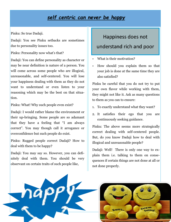## *self centric can never be happy*

Pinku: So true Dadaji.

Dadaji: You see Pinku setbacks are sometimes due to personality issues too.

Pinku: Personality now what's that?

Dadaji: You can define personality as character or may be near definition is nature of a person. You will come across some people who are illogical, unreasonable, and self-centered. You will lose your happiness dealing with them as they do not want to understand or even listen to your reasoning which may be the best on that situation.

Pinku: What! Why such people even exist?

Dadaji: I would rather blame the environment or their up-bringing. Some people are so adamant that they have a feeling that "I am always correct". You may though call it arrogance or overconfidence but such people do exist.

Pinku: Rugged people correct Dadaji? How to deal with them to be happy?

Dadaji: You may say so. However, you can definitely deal with them. You should be very observant on certain traits of such people like,

#### Happiness does not

#### understand rich and poor

- What is their motivation?
- How should you explain them so that your job is done at the same time they are also satisfied?

Pinku be careful that you do not try to put your own flavor while working with them, they might not like it. Ask as many questions to them as you can to ensure:

- 1. To exactly understand what they want?
- 2. It satisfies their ego that you are continuously seeking guidance.

Pinku: The above seems more strategically correct dealing with self-centered people. But, do you know Dadaji how to deal with illogical and unreasonable people?

Dadaji: Well! There is only one way to explain them i.e. talking to them on consequences if certain things are not done at all or not done properly.



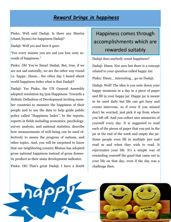### *Reward brings in happiness*

Pinku: Well said Dadaji. Is there any Mantra (chant/hymn) for happiness Dadaji?

Dadaji: Well yes and here it goes:

"For every minute you are sad you lose sixty seconds of happiness."

Pinku: Oh! You're Smart Dadaji. But, true, if we are not sad naturally, we are the other way round i.e. happy…Hmm… the other day I heard about world happiness index what is that Dadaji?

Dadaji: Yes Pinku, the UN General Assembly adopted resolution 65/309 Happiness: Towards a Holistic Definition of Development inviting member countries to measure the happiness of their people and to use the data to help guide public policy called "Happiness Index". In the reports, experts in fields including economics, psychology, survey analysis, and national statistics, describe how measurements of well-being can be used effectively to assess the progress of nations, and other topics. And, you will be surprised to know that our neighboring country Bhutan has adopted gross national happiness instead of gross domestic product as their main development indicator.

Pinku: Oh! That's great Dadaji. I have a doubt

## Happiness comes through accomplishments which are rewarded suitably

Dadaji does anybody count happiness?

Dadaji: Hmm. Not sure but there is a concept related to your question called happy Jar.

Pinku: Hmm… interesting… go on Dadaji.

Dadaji: Well! The idea is you note down your happy moments in a day in a piece of paper and fill in your happy jar. Happy jar is meant to be used daily but life can get busy and events intervene, so if even if you missed don't be worried; just pick it up from where you left off. And you collect nice memories of yourself every day. It is suggested to read each of the pieces of paper that you put in the jar at the end of the week and empty the jar. Some people even fill in multiple jars and read as and when they wish to read. It rejuvenates your life. It's a simple way of reminding yourself the good that came out in your life on that day, even if the day was a challenge then.



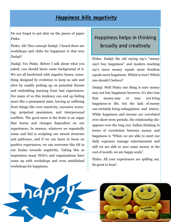## *Happiness kills negativity*

Do not forget to put date on the pieces of paper Pinku.

Pinku: Ah! Nice concept Dadaji. I heard there are workshops and clubs for happiness is that true Dadaji?

Dadaji: Yes Pinku. Before I talk about what you asked, you should know some background of it. We are all hardwired with negative biases, something designed by evolution to keep us safe and alive by readily picking up on potential threats and embedding learning from bad experiences. For many of us this tendency can end up feeling more like a permanent state, leaving us suffering from things like over-reactivity, excessive worrying, perpetual pessimism, and interpersonal conflicts. The good news is the brain is an organ that learns and changes dependent on our experiences. In essence, whatever we repeatedly sense and feel is sculpting our neural structure and pathways, and if we can learn to focus on positive experiences, we can overcome this tilt in our brains towards negativity. Taking this as inspiration many NGO's and organizations have come up with workshops and even established workshops for happiness.

## Happiness helps in thinking broadly and creatively

Pinku: Dadaji the old saying say's "money can't buy happiness" and modern teaching say's more money equals more freedom equals more happiness. Which is true? Which one should I believe?

Dadaji: Well Pinku one thing is sure money may not buy happiness however, it's also true that money may or may not bring happiness in life, but the lack of money can certainly bring unhappiness and misery. While happiness and income are correlated over short-term periods, the relationship disappears over the long run. Indian thinking in terms of correlation between money and happiness is "When we are able to meet our daily expenses manage entertainment and still we are able to save some money at the end of month, we are happy souls".

Pinku: All your experiences are spilling out. So great to hear!



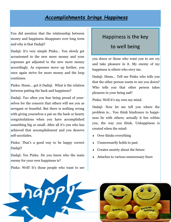#### *Accomplishments brings Happiness*

You did mention that the relationship between money and happiness disappears over long term and why is that Dadaji?

Dadaji: It's very simple Pinku… You slowly get accustomed to the new more money and your expenses get adjusted to the new more money accordingly. As expenses move up further, you once again strive for more money and the loop continues.

Pinku: Hmm… got it Dadaji. What is the relation between patting the back and happiness?

Dadaji: Too often you fear being proud of yourselves for the concern that others will see you as arrogant or boastful. But there is nothing wrong with giving yourselves a pat on the back or hearty congratulations when you have accomplished something big or small. After all it's you who has achieved that accomplishment and you deserve self-accolades.

Pinku: That's a good way to be happy correct Dadaji?

Dadaji: Yes Pinku. Do you know who the main enemy for your own happiness is?

Pinku: Well! It's those people who want to see

#### Happiness is the key

#### to well being

you down or those who want you to see cry and take pleasure in it. My enemy of my happiness is others who envy me.

Dadaji: Hmm… Tell me Pinku who tells you that the other person wants to see you down? Who tells you that other person takes pleasure in your being sad?

Pinku: Well it's my own my mind.

Dadaji: Now let me tell you where the problem is… You think hindrance to happiness lie with others; actually it lies within you, the way you think. Unhappiness is created when the mind:

- Over thinks everything
- Unnecessarily holds to past
- Creates anxiety about the future
- Attaches to various unnecessary fears



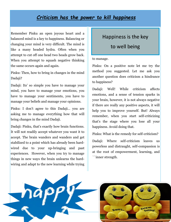### *Criticism has the power to kill happiness*

Remember Pinku an open joyous heart and a balanced mind is a key to happiness. Balancing or changing your mind is very difficult. The mind is like a many headed hydra. Often when you attempt to cut off one head two heads grow back. When you attempt to squash negative thinking the same occurs again and again.

Pinku: Then, how to bring in changes in the mind Dadaji?

Dadaji: Its' so simple you have to manage your mind, you have to manage your emotions, you have to manage your sentiments, you have to manage your beliefs and manage your opinions.

Pinku: I don't agree to this Dadaji… you are asking me to manage everything how that will bring changes in the mind Dadaji.

Dadaji: Pinku, that's exactly how brain functions. It will not readily accept whatever you want it to accept. The brain wanders and wanders and get stabilized to a point which has already been hardwired due to your up-bringing and past experiences. However, when you try to manage things in new ways the brain unlearns the hardwiring and adapt to the new learning while trying

#### Happiness is the key

to well being

#### to manage.

Pinku: On a positive note let me try the method you suggested. Let me ask you another question does criticism a hindrance to happiness?

Dadaji: Well! While criticism affects emotions, and a sense of tension sparks in your brain, however, it is not always negative if there are really any positive aspects, it will help you to improve yourself. But! Always remember, when you start self-criticizing that's the stage where you lose all your happiness. Avoid doing that.

Pinku: What is the remedy for self-criticism?

Dadaji: Where self-criticism leaves us powerless and distraught, self-compassion is at the root of empowerment, learning, and ``inner strength.



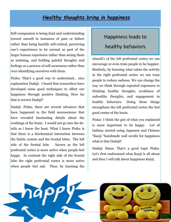#### *Healthy thoughts bring in happiness*

Self-compassion is being kind and understanding toward oneself in instances of pain or failure rather than being harshly self-critical, perceiving one's experiences to be normal as part of the larger human experience rather than seeing them as isolating, and holding painful thoughts and feelings as a process of self-awareness rather than over-identifying ourselves with them.

Pinku: That's a good way to understand… nice explanation Dadaji. I heard that researchers have developed some good techniques to affect our happiness through positive thinking. How far that is correct Dadaji?

Dadaji: Pinku, there are several advances that have happened in the field neuroscience that have revealed fascinating details about the workings of the brain. I would not go into the details as i know the least. What I know Pinku is that there is a biochemical interaction between the limbic system and the frontal lobes. The left side of the frontal lobe known as the left prefrontal cortex is more active when people feel happy. In contrast the right side of the frontal lobe the right prefrontal cortex is more active when people feel sad. Thus, by learning the

# Happiness leads to healthy behaviors

stimuli's of the left prefrontal cortex we can encourage or even train people to be happier. Similarly, by learning what calms the activity in the right prefrontal cortex we can train people to reduce sadness. We can change the way we think through repeated exposures to thinking healthy thoughts, avoidance of unhealthy thoughts, and engagement in healthy behaviors. Doing these things strengthens the left prefrontal cortex the feel good center of the brain.

Pinku: I think the gist of what you explained is more important to be happy. Lot of Indians started using Japanese and Chinese "Kanji "handmade wall scrolls for happiness what is that Dadaji?

Dadaji: Hmm. That's a good topic Pinku. Let's first understand what Kanji is all about and then I will talk about happiness Kanji.



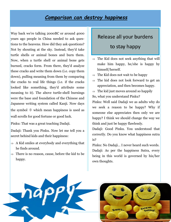#### *Comparison can destroy happiness*

Way back we're talking 2000BC or around 4000 years ago people in China needed to ask questions to the heavens. How did they ask questions? Not by shouting at the sky. Instead, they'd take turtle shells or animal bones and burn them. Now, when a turtle shell or animal bone gets burned, cracks form. From there, they'd analyze these cracks and write them down (i.e. copy them down), pulling meaning from them by comparing the cracks to real life things (i.e. if the cracks looked like something, they'd attribute some meaning to it). The above turtle-shell burnings were the base and foundation of the Chinese and Japanese writing system called Kanji. Now days the symbol 幸 which mean happiness is used as wall scrolls for good fortune or good luck.

Pinku: That was a great teaching Dadaji.

Dadaji: Thank you Pinku. Now let me tell you a secret behind kids and their happiness:

- $\Rightarrow$  A Kid smiles at everybody and everything that he finds around.
- $\Rightarrow$  There is no reason, cause, before the kid to be happy.

## Release all your burdens

#### to stay happy

- $\Rightarrow$  The Kid does not seek anything that will make him happy, he/she is happy by himself/herself.
- $\Rightarrow$  The Kid does not wait to be happy
- $\Rightarrow$  The kid does not look forward to get an appreciation, and then becomes happy.
- $\Rightarrow$  The kid just moves around so happily
- So, what you understand Pinku?

Pinku: Well said Dadaji we as adults why do we seek a reason to be happy? Why if someone else appreciates then only we are happy? I think we should change the way we think and just be happy flawlessly.

Dadaji: Good Pinku. You understood that correctly. Do you know what happiness sutra is?

Pinku: No Dadaji… I never heard such words. Dadaji: As per the happiness Sutra, every being in this world is governed by his/her own thoughts.



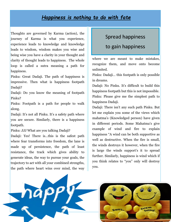## *Happiness is nothing to do with fate*

Thoughts are governed by Karma (action), the journey of Karma is what you experience, experience leads to knowledge and knowledge leads to wisdom, wisdom makes you wise and being wise you have a clarity in your thought and clarity of thought leads to happiness. The whole loop is called a sutra meaning a path for happiness.

Pinku: Great Dadaji. The path of happiness is impressive. Then what is happiness footpath Dadaji?

Dadaji: Do you know the meaning of footpath Pinku?

Pinku: Footpath is a path for people to walk along.

Dadaji: It's not all Pinku. It's a safety path where you are secure. Similarly, there is a happiness footpath.

Pinku: JJJ What are you talking Dadaji?

Dadaji: Yes! There is…this is the safest path where fear transforms into freedom, the lane is made up of persistence, the path of least resistance, the track which gives ability to generate ideas, the way to pursue your goals, the trajectory to act with all your combined strengths, the path where heart wins over mind, the way

## Spread happiness

#### to gain happiness

where we are meant to make mistakes, recognize them, and move onto become unlimited.

Pinku: Dadaji… this footpath is only possible in dreams.

Dadaji: No Pinku. It's difficult to build this happiness footpath but this is not impossible. Pinku: Please give me the simplest path to happiness Dadaji.

Dadaji: There isn't any such path Pinku. But let me explain you some of the views which mahatma's (Knowledged person) have given in different periods. Some Mahatma's give example of wind and fire to explain happiness "A wind can be both supportive as well as destructive. When the fire is small, the winds destroys it however, when the fire is large the winds support's it to spread further. Similarly, happiness is wind which if you think relates to "you" only will destroy you.